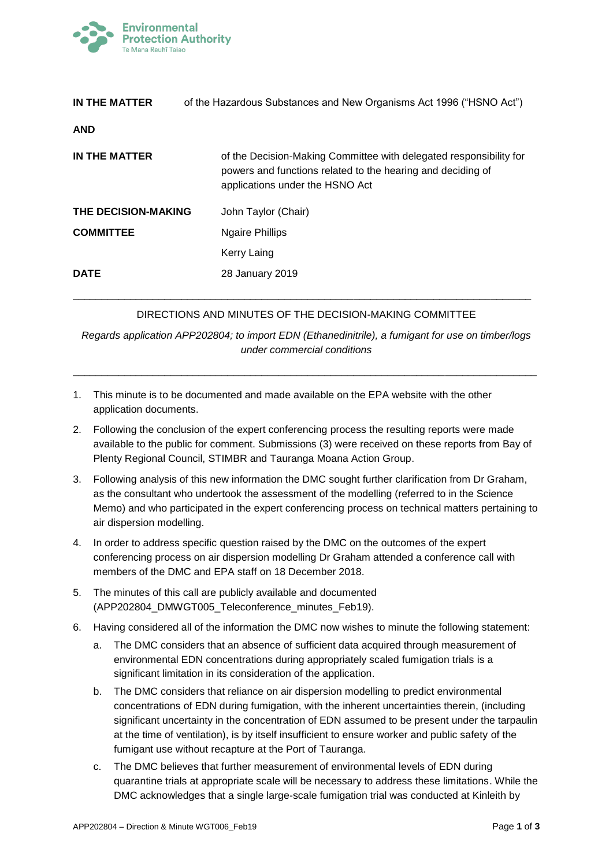

| IN THE MATTER              | of the Hazardous Substances and New Organisms Act 1996 ("HSNO Act")                                                                                                  |
|----------------------------|----------------------------------------------------------------------------------------------------------------------------------------------------------------------|
| <b>AND</b>                 |                                                                                                                                                                      |
| IN THE MATTER              | of the Decision-Making Committee with delegated responsibility for<br>powers and functions related to the hearing and deciding of<br>applications under the HSNO Act |
| <b>THE DECISION-MAKING</b> | John Taylor (Chair)                                                                                                                                                  |
| <b>COMMITTEE</b>           | Ngaire Phillips                                                                                                                                                      |
|                            | Kerry Laing                                                                                                                                                          |
| <b>DATE</b>                | 28 January 2019                                                                                                                                                      |

## DIRECTIONS AND MINUTES OF THE DECISION-MAKING COMMITTEE

\_\_\_\_\_\_\_\_\_\_\_\_\_\_\_\_\_\_\_\_\_\_\_\_\_\_\_\_\_\_\_\_\_\_\_\_\_\_\_\_\_\_\_\_\_\_\_\_\_\_\_\_\_\_\_\_\_\_\_\_\_\_\_\_\_\_\_\_\_\_\_\_\_\_\_\_\_\_\_\_

*Regards application APP202804; to import EDN (Ethanedinitrile), a fumigant for use on timber/logs under commercial conditions*

\_\_\_\_\_\_\_\_\_\_\_\_\_\_\_\_\_\_\_\_\_\_\_\_\_\_\_\_\_\_\_\_\_\_\_\_\_\_\_\_\_\_\_\_\_\_\_\_\_\_\_\_\_\_\_\_\_\_\_\_\_\_\_\_\_\_\_\_\_\_\_\_\_\_\_\_\_\_\_\_\_

- 1. This minute is to be documented and made available on the EPA website with the other application documents.
- 2. Following the conclusion of the expert conferencing process the resulting reports were made available to the public for comment. Submissions (3) were received on these reports from Bay of Plenty Regional Council, STIMBR and Tauranga Moana Action Group.
- 3. Following analysis of this new information the DMC sought further clarification from Dr Graham, as the consultant who undertook the assessment of the modelling (referred to in the Science Memo) and who participated in the expert conferencing process on technical matters pertaining to air dispersion modelling.
- 4. In order to address specific question raised by the DMC on the outcomes of the expert conferencing process on air dispersion modelling Dr Graham attended a conference call with members of the DMC and EPA staff on 18 December 2018.
- 5. The minutes of this call are publicly available and documented (APP202804\_DMWGT005\_Teleconference\_minutes\_Feb19).
- 6. Having considered all of the information the DMC now wishes to minute the following statement:
	- a. The DMC considers that an absence of sufficient data acquired through measurement of environmental EDN concentrations during appropriately scaled fumigation trials is a significant limitation in its consideration of the application.
	- b. The DMC considers that reliance on air dispersion modelling to predict environmental concentrations of EDN during fumigation, with the inherent uncertainties therein, (including significant uncertainty in the concentration of EDN assumed to be present under the tarpaulin at the time of ventilation), is by itself insufficient to ensure worker and public safety of the fumigant use without recapture at the Port of Tauranga.
	- c. The DMC believes that further measurement of environmental levels of EDN during quarantine trials at appropriate scale will be necessary to address these limitations. While the DMC acknowledges that a single large-scale fumigation trial was conducted at Kinleith by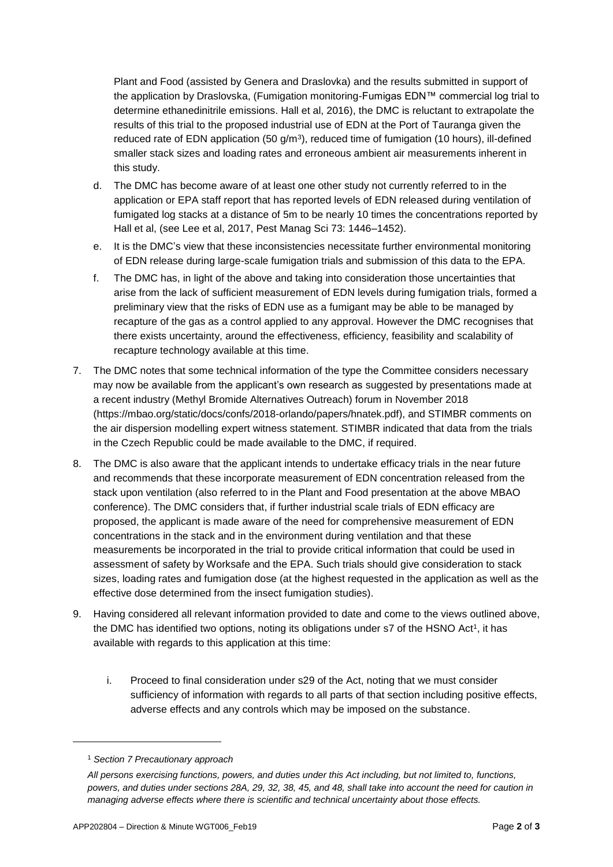Plant and Food (assisted by Genera and Draslovka) and the results submitted in support of the application by Draslovska, (Fumigation monitoring-Fumigas EDN™ commercial log trial to determine ethanedinitrile emissions. Hall et al, 2016), the DMC is reluctant to extrapolate the results of this trial to the proposed industrial use of EDN at the Port of Tauranga given the reduced rate of EDN application  $(50 \text{ g/m}^3)$ , reduced time of fumigation  $(10 \text{ hours})$ , ill-defined smaller stack sizes and loading rates and erroneous ambient air measurements inherent in this study.

- d. The DMC has become aware of at least one other study not currently referred to in the application or EPA staff report that has reported levels of EDN released during ventilation of fumigated log stacks at a distance of 5m to be nearly 10 times the concentrations reported by Hall et al, (see Lee et al, 2017, Pest Manag Sci 73: 1446–1452).
- e. It is the DMC's view that these inconsistencies necessitate further environmental monitoring of EDN release during large-scale fumigation trials and submission of this data to the EPA.
- f. The DMC has, in light of the above and taking into consideration those uncertainties that arise from the lack of sufficient measurement of EDN levels during fumigation trials, formed a preliminary view that the risks of EDN use as a fumigant may be able to be managed by recapture of the gas as a control applied to any approval. However the DMC recognises that there exists uncertainty, around the effectiveness, efficiency, feasibility and scalability of recapture technology available at this time.
- 7. The DMC notes that some technical information of the type the Committee considers necessary may now be available from the applicant's own research as suggested by presentations made at a recent industry (Methyl Bromide Alternatives Outreach) forum in November 2018 (https://mbao.org/static/docs/confs/2018-orlando/papers/hnatek.pdf), and STIMBR comments on the air dispersion modelling expert witness statement. STIMBR indicated that data from the trials in the Czech Republic could be made available to the DMC, if required.
- 8. The DMC is also aware that the applicant intends to undertake efficacy trials in the near future and recommends that these incorporate measurement of EDN concentration released from the stack upon ventilation (also referred to in the Plant and Food presentation at the above MBAO conference). The DMC considers that, if further industrial scale trials of EDN efficacy are proposed, the applicant is made aware of the need for comprehensive measurement of EDN concentrations in the stack and in the environment during ventilation and that these measurements be incorporated in the trial to provide critical information that could be used in assessment of safety by Worksafe and the EPA. Such trials should give consideration to stack sizes, loading rates and fumigation dose (at the highest requested in the application as well as the effective dose determined from the insect fumigation studies).
- 9. Having considered all relevant information provided to date and come to the views outlined above, the DMC has identified two options, noting its obligations under s7 of the HSNO Act<sup>1</sup>, it has available with regards to this application at this time:
	- i. Proceed to final consideration under s29 of the Act, noting that we must consider sufficiency of information with regards to all parts of that section including positive effects, adverse effects and any controls which may be imposed on the substance.

l

<sup>1</sup> *Section 7 Precautionary approach*

*All persons exercising functions, powers, and duties under this Act including, but not limited to, functions, powers, and duties under sections 28A, 29, 32, 38, 45, and 48, shall take into account the need for caution in managing adverse effects where there is scientific and technical uncertainty about those effects.*